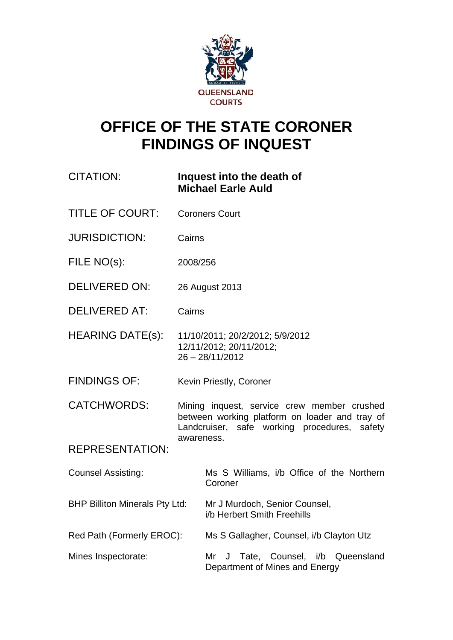

# **OFFICE OF THE STATE CORONER FINDINGS OF INQUEST**

# CITATION: **Inquest into the death of Michael Earle Auld**

- TITLE OF COURT: Coroners Court
- JURISDICTION: Cairns
- FILE NO(s): 2008/256
- DELIVERED ON: 26 August 2013
- DELIVERED AT: Cairns
- HEARING DATE(s): 11/10/2011; 20/2/2012; 5/9/2012 12/11/2012; 20/11/2012; 26 – 28/11/2012
- FINDINGS OF: Kevin Priestly, Coroner
- CATCHWORDS: Mining inquest, service crew member crushed between working platform on loader and tray of Landcruiser, safe working procedures, safety awareness.

REPRESENTATION:

Counsel Assisting: Ms S Williams, i/b Office of the Northern Coroner

BHP Billiton Minerals Pty Ltd: Mr J Murdoch, Senior Counsel, i/b Herbert Smith Freehills

Red Path (Formerly EROC): Ms S Gallagher, Counsel, i/b Clayton Utz

Mines Inspectorate: Mr J Tate, Counsel, i/b Queensland Department of Mines and Energy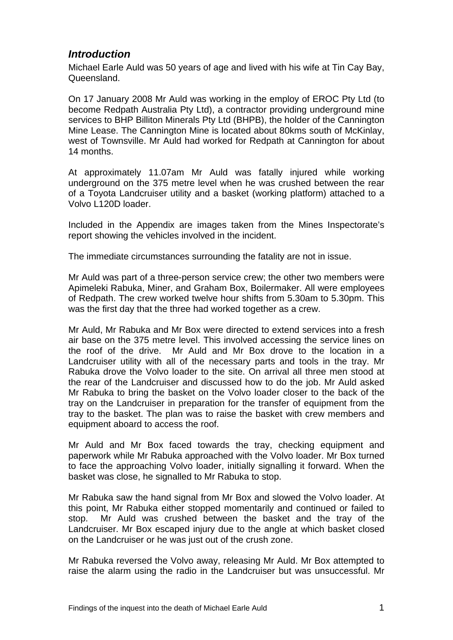# *Introduction*

Michael Earle Auld was 50 years of age and lived with his wife at Tin Cay Bay, Queensland.

On 17 January 2008 Mr Auld was working in the employ of EROC Pty Ltd (to become Redpath Australia Pty Ltd), a contractor providing underground mine services to BHP Billiton Minerals Pty Ltd (BHPB), the holder of the Cannington Mine Lease. The Cannington Mine is located about 80kms south of McKinlay, west of Townsville. Mr Auld had worked for Redpath at Cannington for about 14 months.

At approximately 11.07am Mr Auld was fatally injured while working underground on the 375 metre level when he was crushed between the rear of a Toyota Landcruiser utility and a basket (working platform) attached to a Volvo L120D loader.

Included in the Appendix are images taken from the Mines Inspectorate's report showing the vehicles involved in the incident.

The immediate circumstances surrounding the fatality are not in issue.

Mr Auld was part of a three-person service crew; the other two members were Apimeleki Rabuka, Miner, and Graham Box, Boilermaker. All were employees of Redpath. The crew worked twelve hour shifts from 5.30am to 5.30pm. This was the first day that the three had worked together as a crew.

Mr Auld, Mr Rabuka and Mr Box were directed to extend services into a fresh air base on the 375 metre level. This involved accessing the service lines on the roof of the drive. Mr Auld and Mr Box drove to the location in a Landcruiser utility with all of the necessary parts and tools in the tray. Mr Rabuka drove the Volvo loader to the site. On arrival all three men stood at the rear of the Landcruiser and discussed how to do the job. Mr Auld asked Mr Rabuka to bring the basket on the Volvo loader closer to the back of the tray on the Landcruiser in preparation for the transfer of equipment from the tray to the basket. The plan was to raise the basket with crew members and equipment aboard to access the roof.

Mr Auld and Mr Box faced towards the tray, checking equipment and paperwork while Mr Rabuka approached with the Volvo loader. Mr Box turned to face the approaching Volvo loader, initially signalling it forward. When the basket was close, he signalled to Mr Rabuka to stop.

Mr Rabuka saw the hand signal from Mr Box and slowed the Volvo loader. At this point, Mr Rabuka either stopped momentarily and continued or failed to stop. Mr Auld was crushed between the basket and the tray of the Landcruiser. Mr Box escaped injury due to the angle at which basket closed on the Landcruiser or he was just out of the crush zone.

Mr Rabuka reversed the Volvo away, releasing Mr Auld. Mr Box attempted to raise the alarm using the radio in the Landcruiser but was unsuccessful. Mr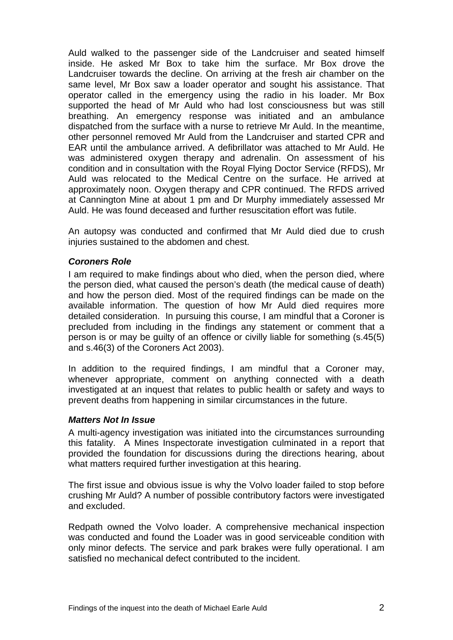Auld walked to the passenger side of the Landcruiser and seated himself inside. He asked Mr Box to take him the surface. Mr Box drove the Landcruiser towards the decline. On arriving at the fresh air chamber on the same level, Mr Box saw a loader operator and sought his assistance. That operator called in the emergency using the radio in his loader. Mr Box supported the head of Mr Auld who had lost consciousness but was still breathing. An emergency response was initiated and an ambulance dispatched from the surface with a nurse to retrieve Mr Auld. In the meantime, other personnel removed Mr Auld from the Landcruiser and started CPR and EAR until the ambulance arrived. A defibrillator was attached to Mr Auld. He was administered oxygen therapy and adrenalin. On assessment of his condition and in consultation with the Royal Flying Doctor Service (RFDS), Mr Auld was relocated to the Medical Centre on the surface. He arrived at approximately noon. Oxygen therapy and CPR continued. The RFDS arrived at Cannington Mine at about 1 pm and Dr Murphy immediately assessed Mr Auld. He was found deceased and further resuscitation effort was futile.

An autopsy was conducted and confirmed that Mr Auld died due to crush injuries sustained to the abdomen and chest.

#### *Coroners Role*

I am required to make findings about who died, when the person died, where the person died, what caused the person's death (the medical cause of death) and how the person died. Most of the required findings can be made on the available information. The question of how Mr Auld died requires more detailed consideration. In pursuing this course, I am mindful that a Coroner is precluded from including in the findings any statement or comment that a person is or may be guilty of an offence or civilly liable for something (s.45(5) and s.46(3) of the Coroners Act 2003).

In addition to the required findings, I am mindful that a Coroner may, whenever appropriate, comment on anything connected with a death investigated at an inquest that relates to public health or safety and ways to prevent deaths from happening in similar circumstances in the future.

#### *Matters Not In Issue*

A multi-agency investigation was initiated into the circumstances surrounding this fatality. A Mines Inspectorate investigation culminated in a report that provided the foundation for discussions during the directions hearing, about what matters required further investigation at this hearing.

The first issue and obvious issue is why the Volvo loader failed to stop before crushing Mr Auld? A number of possible contributory factors were investigated and excluded.

Redpath owned the Volvo loader. A comprehensive mechanical inspection was conducted and found the Loader was in good serviceable condition with only minor defects. The service and park brakes were fully operational. I am satisfied no mechanical defect contributed to the incident.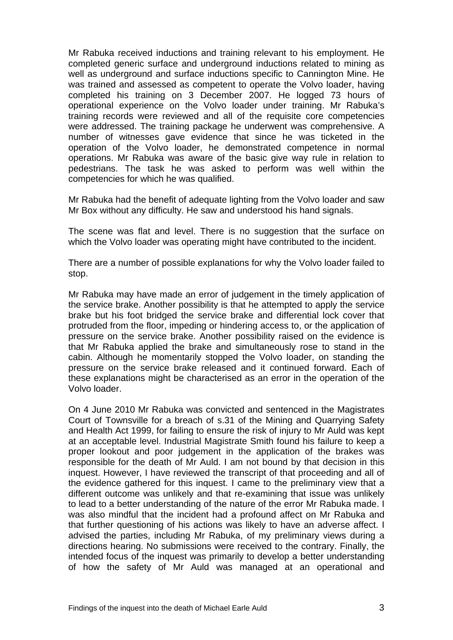Mr Rabuka received inductions and training relevant to his employment. He completed generic surface and underground inductions related to mining as well as underground and surface inductions specific to Cannington Mine. He was trained and assessed as competent to operate the Volvo loader, having completed his training on 3 December 2007. He logged 73 hours of operational experience on the Volvo loader under training. Mr Rabuka's training records were reviewed and all of the requisite core competencies were addressed. The training package he underwent was comprehensive. A number of witnesses gave evidence that since he was ticketed in the operation of the Volvo loader, he demonstrated competence in normal operations. Mr Rabuka was aware of the basic give way rule in relation to pedestrians. The task he was asked to perform was well within the competencies for which he was qualified.

Mr Rabuka had the benefit of adequate lighting from the Volvo loader and saw Mr Box without any difficulty. He saw and understood his hand signals.

The scene was flat and level. There is no suggestion that the surface on which the Volvo loader was operating might have contributed to the incident.

There are a number of possible explanations for why the Volvo loader failed to stop.

Mr Rabuka may have made an error of judgement in the timely application of the service brake. Another possibility is that he attempted to apply the service brake but his foot bridged the service brake and differential lock cover that protruded from the floor, impeding or hindering access to, or the application of pressure on the service brake. Another possibility raised on the evidence is that Mr Rabuka applied the brake and simultaneously rose to stand in the cabin. Although he momentarily stopped the Volvo loader, on standing the pressure on the service brake released and it continued forward. Each of these explanations might be characterised as an error in the operation of the Volvo loader.

On 4 June 2010 Mr Rabuka was convicted and sentenced in the Magistrates Court of Townsville for a breach of s.31 of the Mining and Quarrying Safety and Health Act 1999, for failing to ensure the risk of injury to Mr Auld was kept at an acceptable level. Industrial Magistrate Smith found his failure to keep a proper lookout and poor judgement in the application of the brakes was responsible for the death of Mr Auld. I am not bound by that decision in this inquest. However, I have reviewed the transcript of that proceeding and all of the evidence gathered for this inquest. I came to the preliminary view that a different outcome was unlikely and that re-examining that issue was unlikely to lead to a better understanding of the nature of the error Mr Rabuka made. I was also mindful that the incident had a profound affect on Mr Rabuka and that further questioning of his actions was likely to have an adverse affect. I advised the parties, including Mr Rabuka, of my preliminary views during a directions hearing. No submissions were received to the contrary. Finally, the intended focus of the inquest was primarily to develop a better understanding of how the safety of Mr Auld was managed at an operational and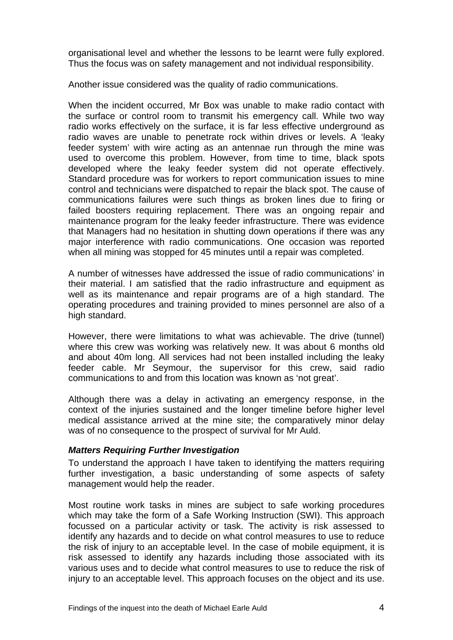organisational level and whether the lessons to be learnt were fully explored. Thus the focus was on safety management and not individual responsibility.

Another issue considered was the quality of radio communications.

When the incident occurred, Mr Box was unable to make radio contact with the surface or control room to transmit his emergency call. While two way radio works effectively on the surface, it is far less effective underground as radio waves are unable to penetrate rock within drives or levels. A 'leaky feeder system' with wire acting as an antennae run through the mine was used to overcome this problem. However, from time to time, black spots developed where the leaky feeder system did not operate effectively. Standard procedure was for workers to report communication issues to mine control and technicians were dispatched to repair the black spot. The cause of communications failures were such things as broken lines due to firing or failed boosters requiring replacement. There was an ongoing repair and maintenance program for the leaky feeder infrastructure. There was evidence that Managers had no hesitation in shutting down operations if there was any major interference with radio communications. One occasion was reported when all mining was stopped for 45 minutes until a repair was completed.

A number of witnesses have addressed the issue of radio communications' in their material. I am satisfied that the radio infrastructure and equipment as well as its maintenance and repair programs are of a high standard. The operating procedures and training provided to mines personnel are also of a high standard.

However, there were limitations to what was achievable. The drive (tunnel) where this crew was working was relatively new. It was about 6 months old and about 40m long. All services had not been installed including the leaky feeder cable. Mr Seymour, the supervisor for this crew, said radio communications to and from this location was known as 'not great'.

Although there was a delay in activating an emergency response, in the context of the injuries sustained and the longer timeline before higher level medical assistance arrived at the mine site; the comparatively minor delay was of no consequence to the prospect of survival for Mr Auld.

#### *Matters Requiring Further Investigation*

To understand the approach I have taken to identifying the matters requiring further investigation, a basic understanding of some aspects of safety management would help the reader.

Most routine work tasks in mines are subject to safe working procedures which may take the form of a Safe Working Instruction (SWI). This approach focussed on a particular activity or task. The activity is risk assessed to identify any hazards and to decide on what control measures to use to reduce the risk of injury to an acceptable level. In the case of mobile equipment, it is risk assessed to identify any hazards including those associated with its various uses and to decide what control measures to use to reduce the risk of injury to an acceptable level. This approach focuses on the object and its use.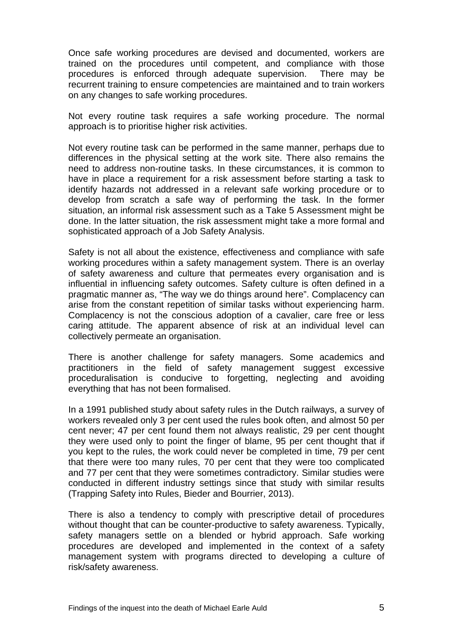Once safe working procedures are devised and documented, workers are trained on the procedures until competent, and compliance with those procedures is enforced through adequate supervision. There may be recurrent training to ensure competencies are maintained and to train workers on any changes to safe working procedures.

Not every routine task requires a safe working procedure. The normal approach is to prioritise higher risk activities.

Not every routine task can be performed in the same manner, perhaps due to differences in the physical setting at the work site. There also remains the need to address non-routine tasks. In these circumstances, it is common to have in place a requirement for a risk assessment before starting a task to identify hazards not addressed in a relevant safe working procedure or to develop from scratch a safe way of performing the task. In the former situation, an informal risk assessment such as a Take 5 Assessment might be done. In the latter situation, the risk assessment might take a more formal and sophisticated approach of a Job Safety Analysis.

Safety is not all about the existence, effectiveness and compliance with safe working procedures within a safety management system. There is an overlay of safety awareness and culture that permeates every organisation and is influential in influencing safety outcomes. Safety culture is often defined in a pragmatic manner as, "The way we do things around here". Complacency can arise from the constant repetition of similar tasks without experiencing harm. Complacency is not the conscious adoption of a cavalier, care free or less caring attitude. The apparent absence of risk at an individual level can collectively permeate an organisation.

There is another challenge for safety managers. Some academics and practitioners in the field of safety management suggest excessive proceduralisation is conducive to forgetting, neglecting and avoiding everything that has not been formalised.

In a 1991 published study about safety rules in the Dutch railways, a survey of workers revealed only 3 per cent used the rules book often, and almost 50 per cent never; 47 per cent found them not always realistic, 29 per cent thought they were used only to point the finger of blame, 95 per cent thought that if you kept to the rules, the work could never be completed in time, 79 per cent that there were too many rules, 70 per cent that they were too complicated and 77 per cent that they were sometimes contradictory. Similar studies were conducted in different industry settings since that study with similar results (Trapping Safety into Rules, Bieder and Bourrier, 2013).

There is also a tendency to comply with prescriptive detail of procedures without thought that can be counter-productive to safety awareness. Typically, safety managers settle on a blended or hybrid approach. Safe working procedures are developed and implemented in the context of a safety management system with programs directed to developing a culture of risk/safety awareness.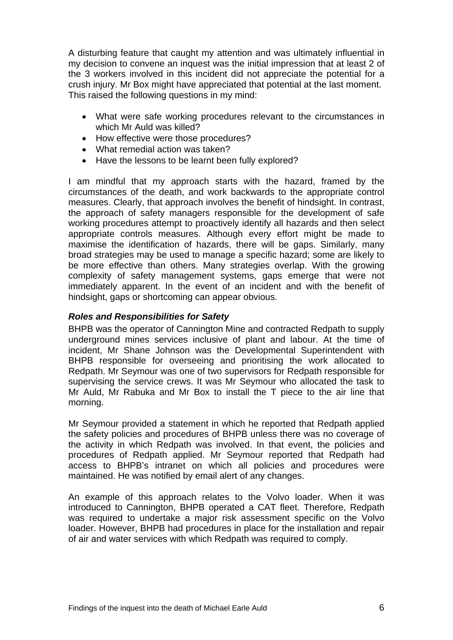A disturbing feature that caught my attention and was ultimately influential in my decision to convene an inquest was the initial impression that at least 2 of the 3 workers involved in this incident did not appreciate the potential for a crush injury. Mr Box might have appreciated that potential at the last moment. This raised the following questions in my mind:

- What were safe working procedures relevant to the circumstances in which Mr Auld was killed?
- How effective were those procedures?
- What remedial action was taken?
- Have the lessons to be learnt been fully explored?

I am mindful that my approach starts with the hazard, framed by the circumstances of the death, and work backwards to the appropriate control measures. Clearly, that approach involves the benefit of hindsight. In contrast, the approach of safety managers responsible for the development of safe working procedures attempt to proactively identify all hazards and then select appropriate controls measures. Although every effort might be made to maximise the identification of hazards, there will be gaps. Similarly, many broad strategies may be used to manage a specific hazard; some are likely to be more effective than others. Many strategies overlap. With the growing complexity of safety management systems, gaps emerge that were not immediately apparent. In the event of an incident and with the benefit of hindsight, gaps or shortcoming can appear obvious.

#### *Roles and Responsibilities for Safety*

BHPB was the operator of Cannington Mine and contracted Redpath to supply underground mines services inclusive of plant and labour. At the time of incident, Mr Shane Johnson was the Developmental Superintendent with BHPB responsible for overseeing and prioritising the work allocated to Redpath. Mr Seymour was one of two supervisors for Redpath responsible for supervising the service crews. It was Mr Seymour who allocated the task to Mr Auld, Mr Rabuka and Mr Box to install the T piece to the air line that morning.

Mr Seymour provided a statement in which he reported that Redpath applied the safety policies and procedures of BHPB unless there was no coverage of the activity in which Redpath was involved. In that event, the policies and procedures of Redpath applied. Mr Seymour reported that Redpath had access to BHPB's intranet on which all policies and procedures were maintained. He was notified by email alert of any changes.

An example of this approach relates to the Volvo loader. When it was introduced to Cannington, BHPB operated a CAT fleet. Therefore, Redpath was required to undertake a major risk assessment specific on the Volvo loader. However, BHPB had procedures in place for the installation and repair of air and water services with which Redpath was required to comply.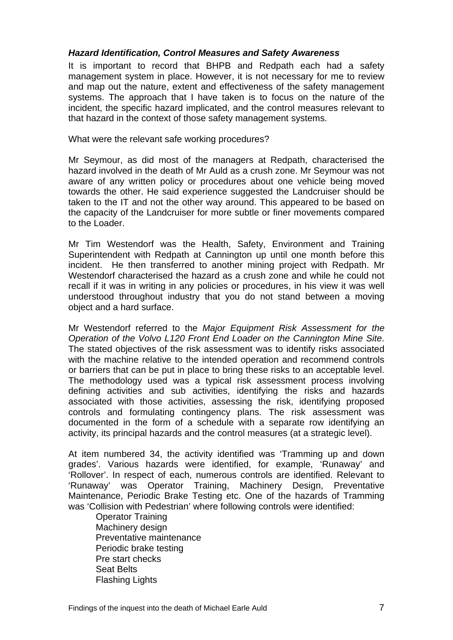#### *Hazard Identification, Control Measures and Safety Awareness*

It is important to record that BHPB and Redpath each had a safety management system in place. However, it is not necessary for me to review and map out the nature, extent and effectiveness of the safety management systems. The approach that I have taken is to focus on the nature of the incident, the specific hazard implicated, and the control measures relevant to that hazard in the context of those safety management systems.

What were the relevant safe working procedures?

Mr Seymour, as did most of the managers at Redpath, characterised the hazard involved in the death of Mr Auld as a crush zone. Mr Seymour was not aware of any written policy or procedures about one vehicle being moved towards the other. He said experience suggested the Landcruiser should be taken to the IT and not the other way around. This appeared to be based on the capacity of the Landcruiser for more subtle or finer movements compared to the Loader.

Mr Tim Westendorf was the Health, Safety, Environment and Training Superintendent with Redpath at Cannington up until one month before this incident. He then transferred to another mining project with Redpath. Mr Westendorf characterised the hazard as a crush zone and while he could not recall if it was in writing in any policies or procedures, in his view it was well understood throughout industry that you do not stand between a moving object and a hard surface.

Mr Westendorf referred to the *Major Equipment Risk Assessment for the Operation of the Volvo L120 Front End Loader on the Cannington Mine Site*. The stated objectives of the risk assessment was to identify risks associated with the machine relative to the intended operation and recommend controls or barriers that can be put in place to bring these risks to an acceptable level. The methodology used was a typical risk assessment process involving defining activities and sub activities, identifying the risks and hazards associated with those activities, assessing the risk, identifying proposed controls and formulating contingency plans. The risk assessment was documented in the form of a schedule with a separate row identifying an activity, its principal hazards and the control measures (at a strategic level).

At item numbered 34, the activity identified was 'Tramming up and down grades'. Various hazards were identified, for example, 'Runaway' and 'Rollover'. In respect of each, numerous controls are identified. Relevant to 'Runaway' was Operator Training, Machinery Design, Preventative Maintenance, Periodic Brake Testing etc. One of the hazards of Tramming was 'Collision with Pedestrian' where following controls were identified:

Operator Training Machinery design Preventative maintenance Periodic brake testing Pre start checks Seat Belts Flashing Lights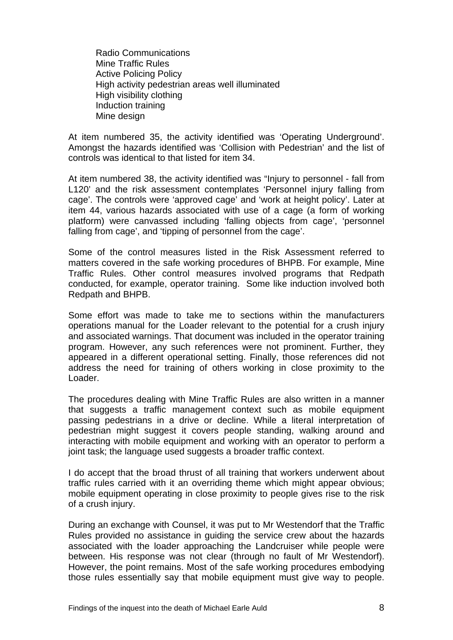Radio Communications Mine Traffic Rules Active Policing Policy High activity pedestrian areas well illuminated High visibility clothing Induction training Mine design

At item numbered 35, the activity identified was 'Operating Underground'. Amongst the hazards identified was 'Collision with Pedestrian' and the list of controls was identical to that listed for item 34.

At item numbered 38, the activity identified was "Injury to personnel - fall from L120' and the risk assessment contemplates 'Personnel injury falling from cage'. The controls were 'approved cage' and 'work at height policy'. Later at item 44, various hazards associated with use of a cage (a form of working platform) were canvassed including 'falling objects from cage', 'personnel falling from cage', and 'tipping of personnel from the cage'.

Some of the control measures listed in the Risk Assessment referred to matters covered in the safe working procedures of BHPB. For example, Mine Traffic Rules. Other control measures involved programs that Redpath conducted, for example, operator training. Some like induction involved both Redpath and BHPB.

Some effort was made to take me to sections within the manufacturers operations manual for the Loader relevant to the potential for a crush injury and associated warnings. That document was included in the operator training program. However, any such references were not prominent. Further, they appeared in a different operational setting. Finally, those references did not address the need for training of others working in close proximity to the Loader.

The procedures dealing with Mine Traffic Rules are also written in a manner that suggests a traffic management context such as mobile equipment passing pedestrians in a drive or decline. While a literal interpretation of pedestrian might suggest it covers people standing, walking around and interacting with mobile equipment and working with an operator to perform a joint task; the language used suggests a broader traffic context.

I do accept that the broad thrust of all training that workers underwent about traffic rules carried with it an overriding theme which might appear obvious; mobile equipment operating in close proximity to people gives rise to the risk of a crush injury.

During an exchange with Counsel, it was put to Mr Westendorf that the Traffic Rules provided no assistance in guiding the service crew about the hazards associated with the loader approaching the Landcruiser while people were between. His response was not clear (through no fault of Mr Westendorf). However, the point remains. Most of the safe working procedures embodying those rules essentially say that mobile equipment must give way to people.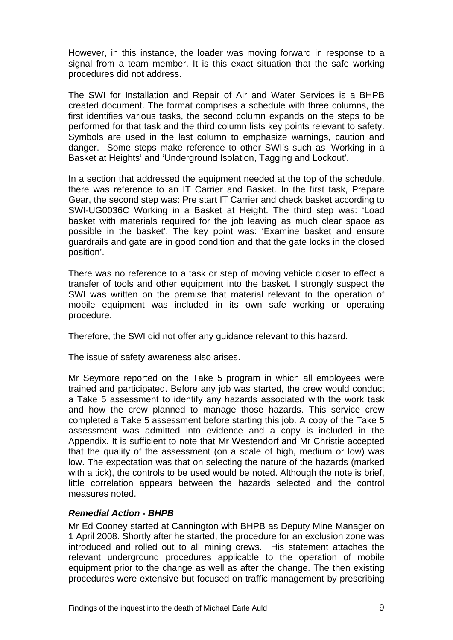However, in this instance, the loader was moving forward in response to a signal from a team member. It is this exact situation that the safe working procedures did not address.

The SWI for Installation and Repair of Air and Water Services is a BHPB created document. The format comprises a schedule with three columns, the first identifies various tasks, the second column expands on the steps to be performed for that task and the third column lists key points relevant to safety. Symbols are used in the last column to emphasize warnings, caution and danger. Some steps make reference to other SWI's such as 'Working in a Basket at Heights' and 'Underground Isolation, Tagging and Lockout'.

In a section that addressed the equipment needed at the top of the schedule, there was reference to an IT Carrier and Basket. In the first task, Prepare Gear, the second step was: Pre start IT Carrier and check basket according to SWI-UG0036C Working in a Basket at Height. The third step was: 'Load basket with materials required for the job leaving as much clear space as possible in the basket'. The key point was: 'Examine basket and ensure guardrails and gate are in good condition and that the gate locks in the closed position'.

There was no reference to a task or step of moving vehicle closer to effect a transfer of tools and other equipment into the basket. I strongly suspect the SWI was written on the premise that material relevant to the operation of mobile equipment was included in its own safe working or operating procedure.

Therefore, the SWI did not offer any guidance relevant to this hazard.

The issue of safety awareness also arises.

Mr Seymore reported on the Take 5 program in which all employees were trained and participated. Before any job was started, the crew would conduct a Take 5 assessment to identify any hazards associated with the work task and how the crew planned to manage those hazards. This service crew completed a Take 5 assessment before starting this job. A copy of the Take 5 assessment was admitted into evidence and a copy is included in the Appendix. It is sufficient to note that Mr Westendorf and Mr Christie accepted that the quality of the assessment (on a scale of high, medium or low) was low. The expectation was that on selecting the nature of the hazards (marked with a tick), the controls to be used would be noted. Although the note is brief, little correlation appears between the hazards selected and the control measures noted.

#### *Remedial Action - BHPB*

Mr Ed Cooney started at Cannington with BHPB as Deputy Mine Manager on 1 April 2008. Shortly after he started, the procedure for an exclusion zone was introduced and rolled out to all mining crews. His statement attaches the relevant underground procedures applicable to the operation of mobile equipment prior to the change as well as after the change. The then existing procedures were extensive but focused on traffic management by prescribing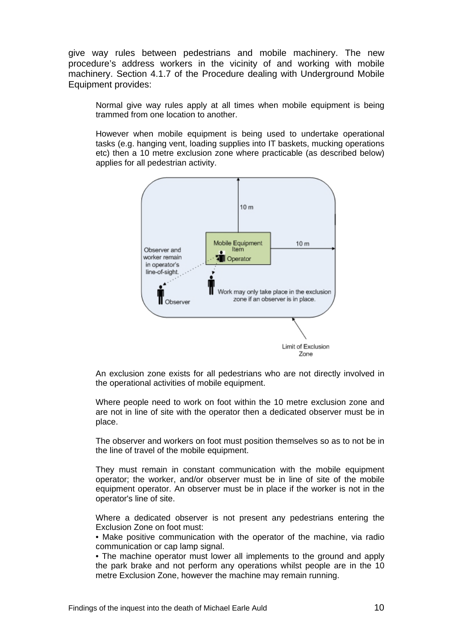give way rules between pedestrians and mobile machinery. The new procedure's address workers in the vicinity of and working with mobile machinery. Section 4.1.7 of the Procedure dealing with Underground Mobile Equipment provides:

Normal give way rules apply at all times when mobile equipment is being trammed from one location to another.

However when mobile equipment is being used to undertake operational tasks (e.g. hanging vent, loading supplies into IT baskets, mucking operations etc) then a 10 metre exclusion zone where practicable (as described below) applies for all pedestrian activity.



An exclusion zone exists for all pedestrians who are not directly involved in the operational activities of mobile equipment.

Where people need to work on foot within the 10 metre exclusion zone and are not in line of site with the operator then a dedicated observer must be in place.

The observer and workers on foot must position themselves so as to not be in the line of travel of the mobile equipment.

They must remain in constant communication with the mobile equipment operator; the worker, and/or observer must be in line of site of the mobile equipment operator. An observer must be in place if the worker is not in the operator's line of site.

Where a dedicated observer is not present any pedestrians entering the Exclusion Zone on foot must:

• Make positive communication with the operator of the machine, via radio communication or cap lamp signal.

• The machine operator must lower all implements to the ground and apply the park brake and not perform any operations whilst people are in the 10 metre Exclusion Zone, however the machine may remain running.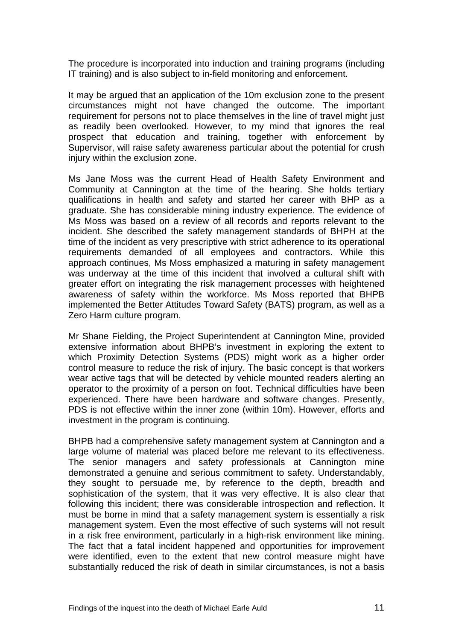The procedure is incorporated into induction and training programs (including IT training) and is also subject to in-field monitoring and enforcement.

It may be argued that an application of the 10m exclusion zone to the present circumstances might not have changed the outcome. The important requirement for persons not to place themselves in the line of travel might just as readily been overlooked. However, to my mind that ignores the real prospect that education and training, together with enforcement by Supervisor, will raise safety awareness particular about the potential for crush injury within the exclusion zone.

Ms Jane Moss was the current Head of Health Safety Environment and Community at Cannington at the time of the hearing. She holds tertiary qualifications in health and safety and started her career with BHP as a graduate. She has considerable mining industry experience. The evidence of Ms Moss was based on a review of all records and reports relevant to the incident. She described the safety management standards of BHPH at the time of the incident as very prescriptive with strict adherence to its operational requirements demanded of all employees and contractors. While this approach continues, Ms Moss emphasized a maturing in safety management was underway at the time of this incident that involved a cultural shift with greater effort on integrating the risk management processes with heightened awareness of safety within the workforce. Ms Moss reported that BHPB implemented the Better Attitudes Toward Safety (BATS) program, as well as a Zero Harm culture program.

Mr Shane Fielding, the Project Superintendent at Cannington Mine, provided extensive information about BHPB's investment in exploring the extent to which Proximity Detection Systems (PDS) might work as a higher order control measure to reduce the risk of injury. The basic concept is that workers wear active tags that will be detected by vehicle mounted readers alerting an operator to the proximity of a person on foot. Technical difficulties have been experienced. There have been hardware and software changes. Presently, PDS is not effective within the inner zone (within 10m). However, efforts and investment in the program is continuing.

BHPB had a comprehensive safety management system at Cannington and a large volume of material was placed before me relevant to its effectiveness. The senior managers and safety professionals at Cannington mine demonstrated a genuine and serious commitment to safety. Understandably, they sought to persuade me, by reference to the depth, breadth and sophistication of the system, that it was very effective. It is also clear that following this incident; there was considerable introspection and reflection. It must be borne in mind that a safety management system is essentially a risk management system. Even the most effective of such systems will not result in a risk free environment, particularly in a high-risk environment like mining. The fact that a fatal incident happened and opportunities for improvement were identified, even to the extent that new control measure might have substantially reduced the risk of death in similar circumstances, is not a basis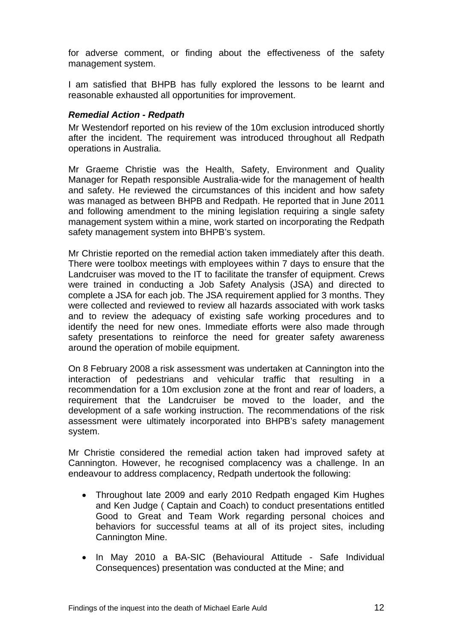for adverse comment, or finding about the effectiveness of the safety management system.

I am satisfied that BHPB has fully explored the lessons to be learnt and reasonable exhausted all opportunities for improvement.

#### *Remedial Action - Redpath*

Mr Westendorf reported on his review of the 10m exclusion introduced shortly after the incident. The requirement was introduced throughout all Redpath operations in Australia.

Mr Graeme Christie was the Health, Safety, Environment and Quality Manager for Repath responsible Australia-wide for the management of health and safety. He reviewed the circumstances of this incident and how safety was managed as between BHPB and Redpath. He reported that in June 2011 and following amendment to the mining legislation requiring a single safety management system within a mine, work started on incorporating the Redpath safety management system into BHPB's system.

Mr Christie reported on the remedial action taken immediately after this death. There were toolbox meetings with employees within 7 days to ensure that the Landcruiser was moved to the IT to facilitate the transfer of equipment. Crews were trained in conducting a Job Safety Analysis (JSA) and directed to complete a JSA for each job. The JSA requirement applied for 3 months. They were collected and reviewed to review all hazards associated with work tasks and to review the adequacy of existing safe working procedures and to identify the need for new ones. Immediate efforts were also made through safety presentations to reinforce the need for greater safety awareness around the operation of mobile equipment.

On 8 February 2008 a risk assessment was undertaken at Cannington into the interaction of pedestrians and vehicular traffic that resulting in a recommendation for a 10m exclusion zone at the front and rear of loaders, a requirement that the Landcruiser be moved to the loader, and the development of a safe working instruction. The recommendations of the risk assessment were ultimately incorporated into BHPB's safety management system.

Mr Christie considered the remedial action taken had improved safety at Cannington. However, he recognised complacency was a challenge. In an endeavour to address complacency, Redpath undertook the following:

- Throughout late 2009 and early 2010 Redpath engaged Kim Hughes and Ken Judge ( Captain and Coach) to conduct presentations entitled Good to Great and Team Work regarding personal choices and behaviors for successful teams at all of its project sites, including Cannington Mine.
- In May 2010 a BA-SIC (Behavioural Attitude Safe Individual Consequences) presentation was conducted at the Mine; and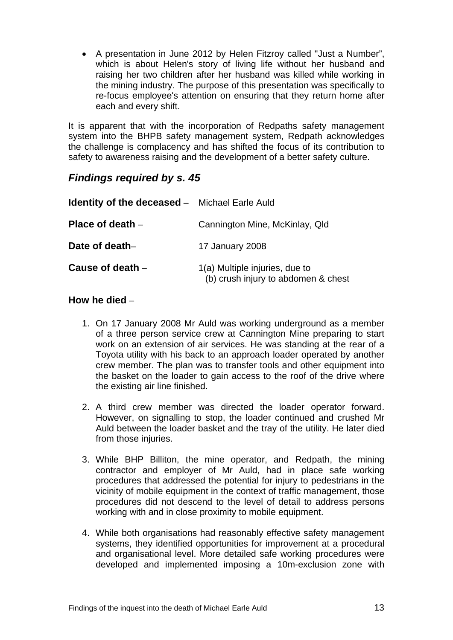A presentation in June 2012 by Helen Fitzroy called "Just a Number", which is about Helen's story of living life without her husband and raising her two children after her husband was killed while working in the mining industry. The purpose of this presentation was specifically to re-focus employee's attention on ensuring that they return home after each and every shift.

It is apparent that with the incorporation of Redpaths safety management system into the BHPB safety management system, Redpath acknowledges the challenge is complacency and has shifted the focus of its contribution to safety to awareness raising and the development of a better safety culture.

# *Findings required by s. 45*

| <b>Identity of the deceased -</b> Michael Earle Auld |                                                                       |
|------------------------------------------------------|-----------------------------------------------------------------------|
| Place of death $-$                                   | Cannington Mine, McKinlay, Qld                                        |
| Date of death-                                       | 17 January 2008                                                       |
| Cause of death $-$                                   | 1(a) Multiple injuries, due to<br>(b) crush injury to abdomen & chest |

### **How he died** –

- 1. On 17 January 2008 Mr Auld was working underground as a member of a three person service crew at Cannington Mine preparing to start work on an extension of air services. He was standing at the rear of a Toyota utility with his back to an approach loader operated by another crew member. The plan was to transfer tools and other equipment into the basket on the loader to gain access to the roof of the drive where the existing air line finished.
- 2. A third crew member was directed the loader operator forward. However, on signalling to stop, the loader continued and crushed Mr Auld between the loader basket and the tray of the utility. He later died from those injuries.
- 3. While BHP Billiton, the mine operator, and Redpath, the mining contractor and employer of Mr Auld, had in place safe working procedures that addressed the potential for injury to pedestrians in the vicinity of mobile equipment in the context of traffic management, those procedures did not descend to the level of detail to address persons working with and in close proximity to mobile equipment.
- 4. While both organisations had reasonably effective safety management systems, they identified opportunities for improvement at a procedural and organisational level. More detailed safe working procedures were developed and implemented imposing a 10m-exclusion zone with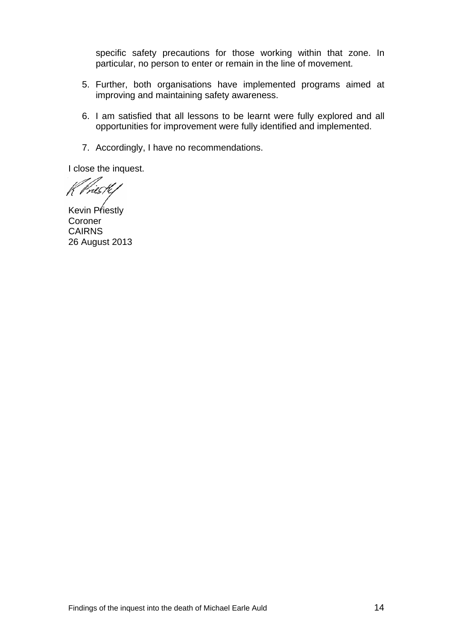specific safety precautions for those working within that zone. In particular, no person to enter or remain in the line of movement.

- 5. Further, both organisations have implemented programs aimed at improving and maintaining safety awareness.
- 6. I am satisfied that all lessons to be learnt were fully explored and all opportunities for improvement were fully identified and implemented.
- 7. Accordingly, I have no recommendations.

I close the inquest.

Vriestli

Kevin Priestly **Coroner** CAIRNS 26 August 2013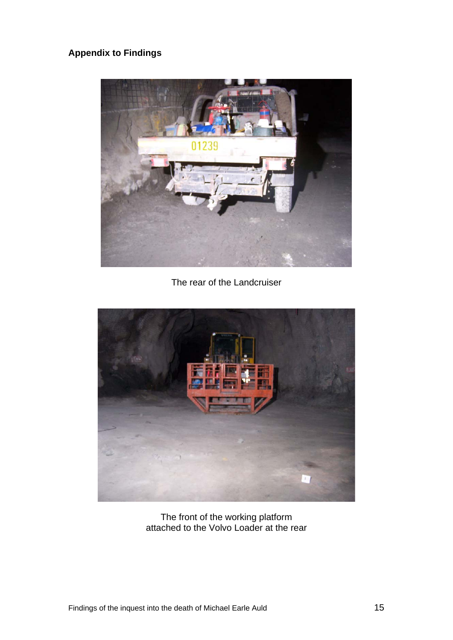# **Appendix to Findings**



The rear of the Landcruiser



The front of the working platform attached to the Volvo Loader at the rear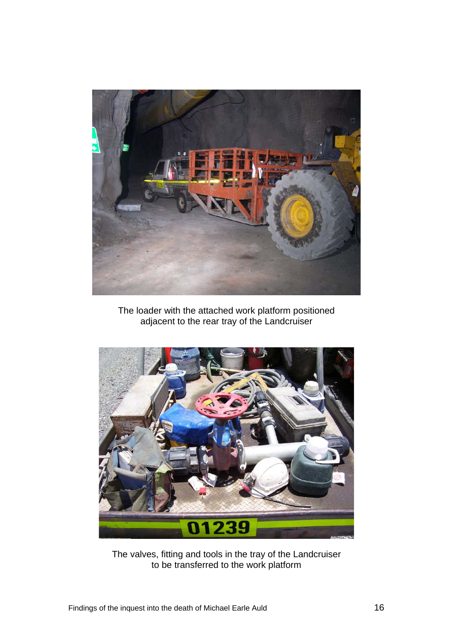

The loader with the attached work platform positioned adjacent to the rear tray of the Landcruiser



The valves, fitting and tools in the tray of the Landcruiser to be transferred to the work platform